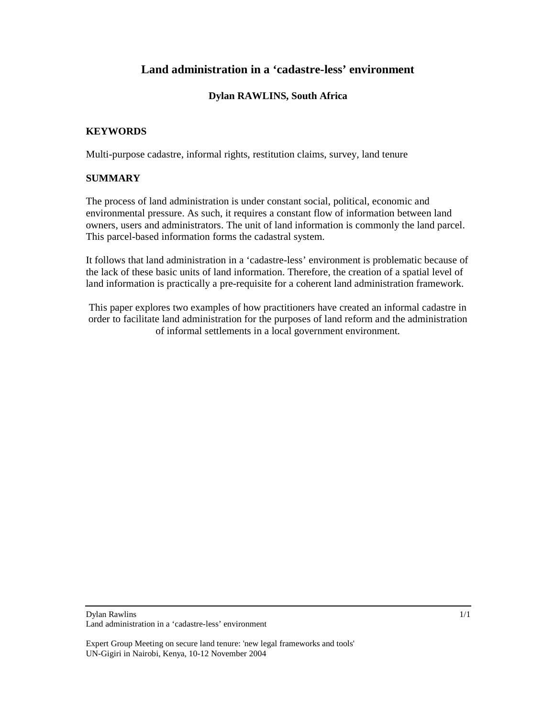# **Land administration in a 'cadastre-less' environment**

# **Dylan RAWLINS, South Africa**

## **KEYWORDS**

Multi-purpose cadastre, informal rights, restitution claims, survey, land tenure

## **SUMMARY**

The process of land administration is under constant social, political, economic and environmental pressure. As such, it requires a constant flow of information between land owners, users and administrators. The unit of land information is commonly the land parcel. This parcel-based information forms the cadastral system.

It follows that land administration in a 'cadastre-less' environment is problematic because of the lack of these basic units of land information. Therefore, the creation of a spatial level of land information is practically a pre-requisite for a coherent land administration framework.

This paper explores two examples of how practitioners have created an informal cadastre in order to facilitate land administration for the purposes of land reform and the administration of informal settlements in a local government environment.

#### Dylan Rawlins Land administration in a 'cadastre-less' environment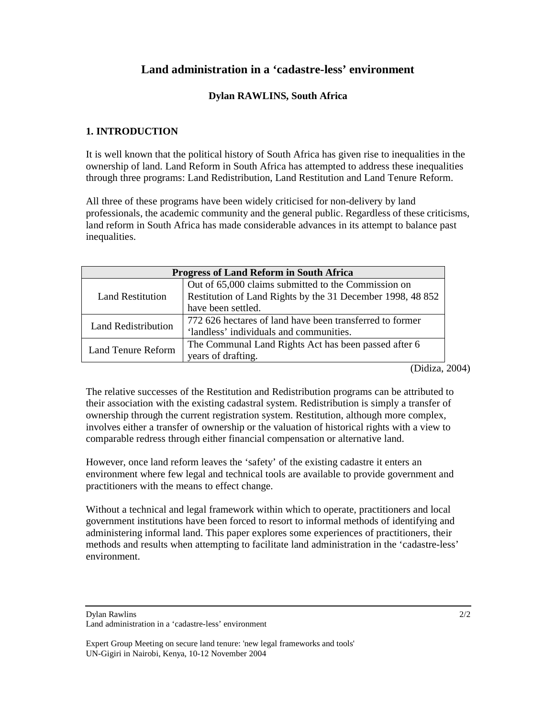# **Land administration in a 'cadastre-less' environment**

## **Dylan RAWLINS, South Africa**

## **1. INTRODUCTION**

It is well known that the political history of South Africa has given rise to inequalities in the ownership of land. Land Reform in South Africa has attempted to address these inequalities through three programs: Land Redistribution, Land Restitution and Land Tenure Reform.

All three of these programs have been widely criticised for non-delivery by land professionals, the academic community and the general public. Regardless of these criticisms, land reform in South Africa has made considerable advances in its attempt to balance past inequalities.

| <b>Progress of Land Reform in South Africa</b> |                                                            |
|------------------------------------------------|------------------------------------------------------------|
| <b>Land Restitution</b>                        | Out of 65,000 claims submitted to the Commission on        |
|                                                | Restitution of Land Rights by the 31 December 1998, 48 852 |
|                                                | have been settled.                                         |
| <b>Land Redistribution</b>                     | 772 626 hectares of land have been transferred to former   |
|                                                | 'landless' individuals and communities.                    |
| Land Tenure Reform                             | The Communal Land Rights Act has been passed after 6       |
|                                                | years of drafting.                                         |

(Didiza, 2004)

The relative successes of the Restitution and Redistribution programs can be attributed to their association with the existing cadastral system. Redistribution is simply a transfer of ownership through the current registration system. Restitution, although more complex, involves either a transfer of ownership or the valuation of historical rights with a view to comparable redress through either financial compensation or alternative land.

However, once land reform leaves the 'safety' of the existing cadastre it enters an environment where few legal and technical tools are available to provide government and practitioners with the means to effect change.

Without a technical and legal framework within which to operate, practitioners and local government institutions have been forced to resort to informal methods of identifying and administering informal land. This paper explores some experiences of practitioners, their methods and results when attempting to facilitate land administration in the 'cadastre-less' environment.

Dylan Rawlins

Land administration in a 'cadastre-less' environment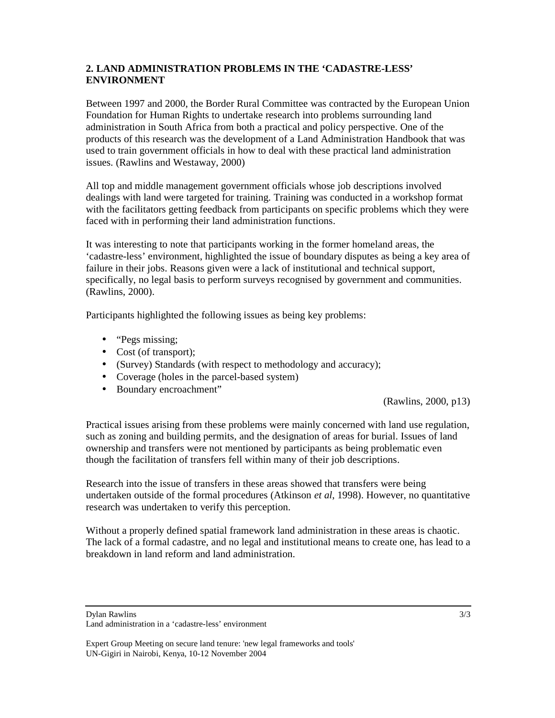# **2. LAND ADMINISTRATION PROBLEMS IN THE 'CADASTRE-LESS' ENVIRONMENT**

Between 1997 and 2000, the Border Rural Committee was contracted by the European Union Foundation for Human Rights to undertake research into problems surrounding land administration in South Africa from both a practical and policy perspective. One of the products of this research was the development of a Land Administration Handbook that was used to train government officials in how to deal with these practical land administration issues. (Rawlins and Westaway, 2000)

All top and middle management government officials whose job descriptions involved dealings with land were targeted for training. Training was conducted in a workshop format with the facilitators getting feedback from participants on specific problems which they were faced with in performing their land administration functions.

It was interesting to note that participants working in the former homeland areas, the 'cadastre-less' environment, highlighted the issue of boundary disputes as being a key area of failure in their jobs. Reasons given were a lack of institutional and technical support, specifically, no legal basis to perform surveys recognised by government and communities. (Rawlins, 2000).

Participants highlighted the following issues as being key problems:

- "Pegs missing:
- Cost (of transport);
- (Survey) Standards (with respect to methodology and accuracy);
- Coverage (holes in the parcel-based system)
- Boundary encroachment"

(Rawlins, 2000, p13)

Practical issues arising from these problems were mainly concerned with land use regulation, such as zoning and building permits, and the designation of areas for burial. Issues of land ownership and transfers were not mentioned by participants as being problematic even though the facilitation of transfers fell within many of their job descriptions.

Research into the issue of transfers in these areas showed that transfers were being undertaken outside of the formal procedures (Atkinson *et al*, 1998). However, no quantitative research was undertaken to verify this perception.

Without a properly defined spatial framework land administration in these areas is chaotic. The lack of a formal cadastre, and no legal and institutional means to create one, has lead to a breakdown in land reform and land administration.

Dylan Rawlins

Land administration in a 'cadastre-less' environment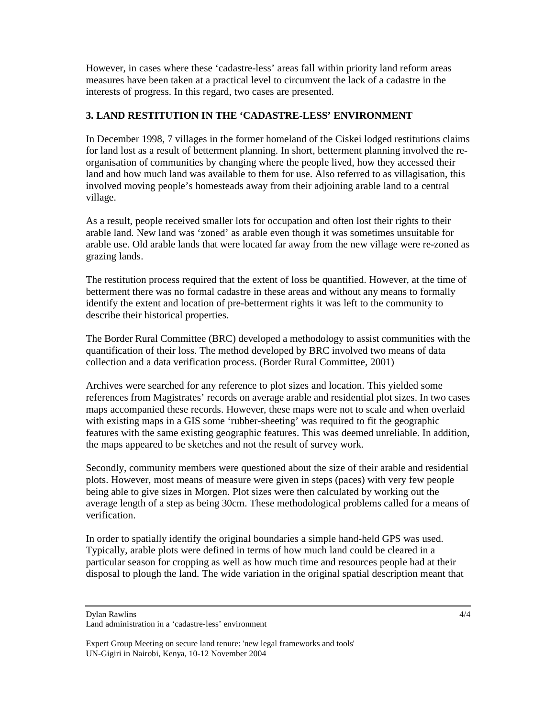However, in cases where these 'cadastre-less' areas fall within priority land reform areas measures have been taken at a practical level to circumvent the lack of a cadastre in the interests of progress. In this regard, two cases are presented.

#### **3. LAND RESTITUTION IN THE 'CADASTRE-LESS' ENVIRONMENT**

In December 1998, 7 villages in the former homeland of the Ciskei lodged restitutions claims for land lost as a result of betterment planning. In short, betterment planning involved the reorganisation of communities by changing where the people lived, how they accessed their land and how much land was available to them for use. Also referred to as villagisation, this involved moving people's homesteads away from their adjoining arable land to a central village.

As a result, people received smaller lots for occupation and often lost their rights to their arable land. New land was 'zoned' as arable even though it was sometimes unsuitable for arable use. Old arable lands that were located far away from the new village were re-zoned as grazing lands.

The restitution process required that the extent of loss be quantified. However, at the time of betterment there was no formal cadastre in these areas and without any means to formally identify the extent and location of pre-betterment rights it was left to the community to describe their historical properties.

The Border Rural Committee (BRC) developed a methodology to assist communities with the quantification of their loss. The method developed by BRC involved two means of data collection and a data verification process. (Border Rural Committee, 2001)

Archives were searched for any reference to plot sizes and location. This yielded some references from Magistrates' records on average arable and residential plot sizes. In two cases maps accompanied these records. However, these maps were not to scale and when overlaid with existing maps in a GIS some 'rubber-sheeting' was required to fit the geographic features with the same existing geographic features. This was deemed unreliable. In addition, the maps appeared to be sketches and not the result of survey work.

Secondly, community members were questioned about the size of their arable and residential plots. However, most means of measure were given in steps (paces) with very few people being able to give sizes in Morgen. Plot sizes were then calculated by working out the average length of a step as being 30cm. These methodological problems called for a means of verification.

In order to spatially identify the original boundaries a simple hand-held GPS was used. Typically, arable plots were defined in terms of how much land could be cleared in a particular season for cropping as well as how much time and resources people had at their disposal to plough the land. The wide variation in the original spatial description meant that

Dylan Rawlins

Land administration in a 'cadastre-less' environment

Expert Group Meeting on secure land tenure: 'new legal frameworks and tools' UN-Gigiri in Nairobi, Kenya, 10-12 November 2004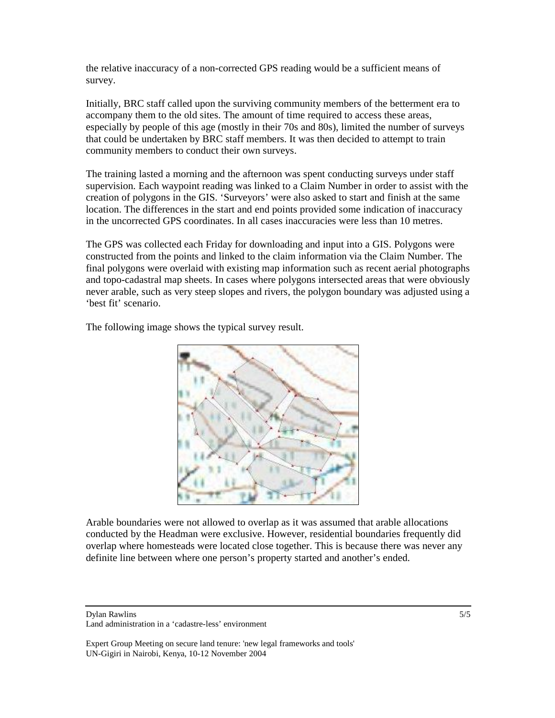the relative inaccuracy of a non-corrected GPS reading would be a sufficient means of survey.

Initially, BRC staff called upon the surviving community members of the betterment era to accompany them to the old sites. The amount of time required to access these areas, especially by people of this age (mostly in their 70s and 80s), limited the number of surveys that could be undertaken by BRC staff members. It was then decided to attempt to train community members to conduct their own surveys.

The training lasted a morning and the afternoon was spent conducting surveys under staff supervision. Each waypoint reading was linked to a Claim Number in order to assist with the creation of polygons in the GIS. 'Surveyors' were also asked to start and finish at the same location. The differences in the start and end points provided some indication of inaccuracy in the uncorrected GPS coordinates. In all cases inaccuracies were less than 10 metres.

The GPS was collected each Friday for downloading and input into a GIS. Polygons were constructed from the points and linked to the claim information via the Claim Number. The final polygons were overlaid with existing map information such as recent aerial photographs and topo-cadastral map sheets. In cases where polygons intersected areas that were obviously never arable, such as very steep slopes and rivers, the polygon boundary was adjusted using a 'best fit' scenario.

The following image shows the typical survey result.



Arable boundaries were not allowed to overlap as it was assumed that arable allocations conducted by the Headman were exclusive. However, residential boundaries frequently did overlap where homesteads were located close together. This is because there was never any definite line between where one person's property started and another's ended.

Dylan Rawlins Land administration in a 'cadastre-less' environment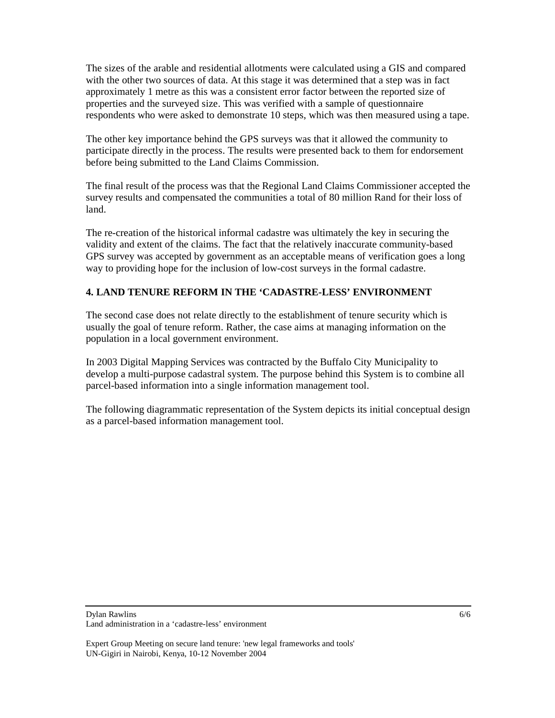The sizes of the arable and residential allotments were calculated using a GIS and compared with the other two sources of data. At this stage it was determined that a step was in fact approximately 1 metre as this was a consistent error factor between the reported size of properties and the surveyed size. This was verified with a sample of questionnaire respondents who were asked to demonstrate 10 steps, which was then measured using a tape.

The other key importance behind the GPS surveys was that it allowed the community to participate directly in the process. The results were presented back to them for endorsement before being submitted to the Land Claims Commission.

The final result of the process was that the Regional Land Claims Commissioner accepted the survey results and compensated the communities a total of 80 million Rand for their loss of land.

The re-creation of the historical informal cadastre was ultimately the key in securing the validity and extent of the claims. The fact that the relatively inaccurate community-based GPS survey was accepted by government as an acceptable means of verification goes a long way to providing hope for the inclusion of low-cost surveys in the formal cadastre.

# **4. LAND TENURE REFORM IN THE 'CADASTRE-LESS' ENVIRONMENT**

The second case does not relate directly to the establishment of tenure security which is usually the goal of tenure reform. Rather, the case aims at managing information on the population in a local government environment.

In 2003 Digital Mapping Services was contracted by the Buffalo City Municipality to develop a multi-purpose cadastral system. The purpose behind this System is to combine all parcel-based information into a single information management tool.

The following diagrammatic representation of the System depicts its initial conceptual design as a parcel-based information management tool.

#### Dylan Rawlins Land administration in a 'cadastre-less' environment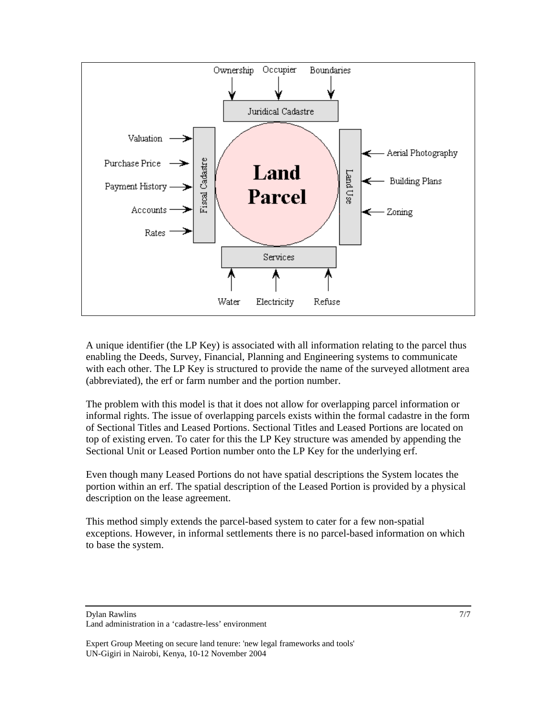

A unique identifier (the LP Key) is associated with all information relating to the parcel thus enabling the Deeds, Survey, Financial, Planning and Engineering systems to communicate with each other. The LP Key is structured to provide the name of the surveyed allotment area (abbreviated), the erf or farm number and the portion number.

The problem with this model is that it does not allow for overlapping parcel information or informal rights. The issue of overlapping parcels exists within the formal cadastre in the form of Sectional Titles and Leased Portions. Sectional Titles and Leased Portions are located on top of existing erven. To cater for this the LP Key structure was amended by appending the Sectional Unit or Leased Portion number onto the LP Key for the underlying erf.

Even though many Leased Portions do not have spatial descriptions the System locates the portion within an erf. The spatial description of the Leased Portion is provided by a physical description on the lease agreement.

This method simply extends the parcel-based system to cater for a few non-spatial exceptions. However, in informal settlements there is no parcel-based information on which to base the system.

Dylan Rawlins

Land administration in a 'cadastre-less' environment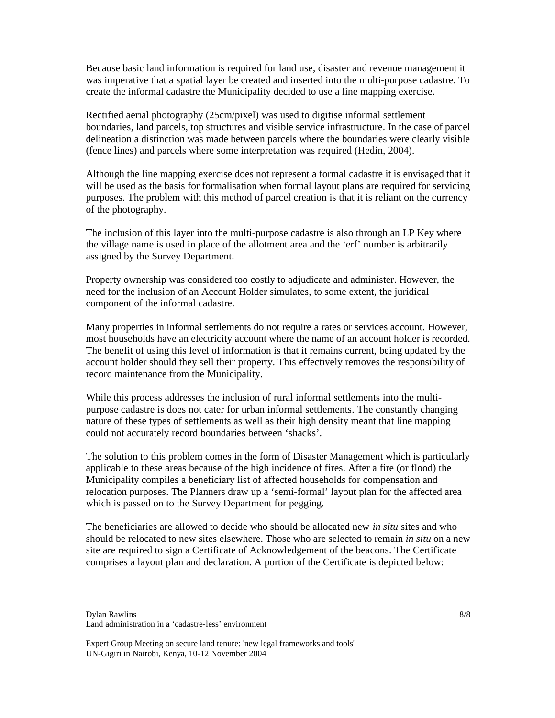Because basic land information is required for land use, disaster and revenue management it was imperative that a spatial layer be created and inserted into the multi-purpose cadastre. To create the informal cadastre the Municipality decided to use a line mapping exercise.

Rectified aerial photography (25cm/pixel) was used to digitise informal settlement boundaries, land parcels, top structures and visible service infrastructure. In the case of parcel delineation a distinction was made between parcels where the boundaries were clearly visible (fence lines) and parcels where some interpretation was required (Hedin, 2004).

Although the line mapping exercise does not represent a formal cadastre it is envisaged that it will be used as the basis for formalisation when formal layout plans are required for servicing purposes. The problem with this method of parcel creation is that it is reliant on the currency of the photography.

The inclusion of this layer into the multi-purpose cadastre is also through an LP Key where the village name is used in place of the allotment area and the 'erf' number is arbitrarily assigned by the Survey Department.

Property ownership was considered too costly to adjudicate and administer. However, the need for the inclusion of an Account Holder simulates, to some extent, the juridical component of the informal cadastre.

Many properties in informal settlements do not require a rates or services account. However, most households have an electricity account where the name of an account holder is recorded. The benefit of using this level of information is that it remains current, being updated by the account holder should they sell their property. This effectively removes the responsibility of record maintenance from the Municipality.

While this process addresses the inclusion of rural informal settlements into the multipurpose cadastre is does not cater for urban informal settlements. The constantly changing nature of these types of settlements as well as their high density meant that line mapping could not accurately record boundaries between 'shacks'.

The solution to this problem comes in the form of Disaster Management which is particularly applicable to these areas because of the high incidence of fires. After a fire (or flood) the Municipality compiles a beneficiary list of affected households for compensation and relocation purposes. The Planners draw up a 'semi-formal' layout plan for the affected area which is passed on to the Survey Department for pegging.

The beneficiaries are allowed to decide who should be allocated new *in situ* sites and who should be relocated to new sites elsewhere. Those who are selected to remain *in situ* on a new site are required to sign a Certificate of Acknowledgement of the beacons. The Certificate comprises a layout plan and declaration. A portion of the Certificate is depicted below:

Dylan Rawlins

Land administration in a 'cadastre-less' environment

Expert Group Meeting on secure land tenure: 'new legal frameworks and tools' UN-Gigiri in Nairobi, Kenya, 10-12 November 2004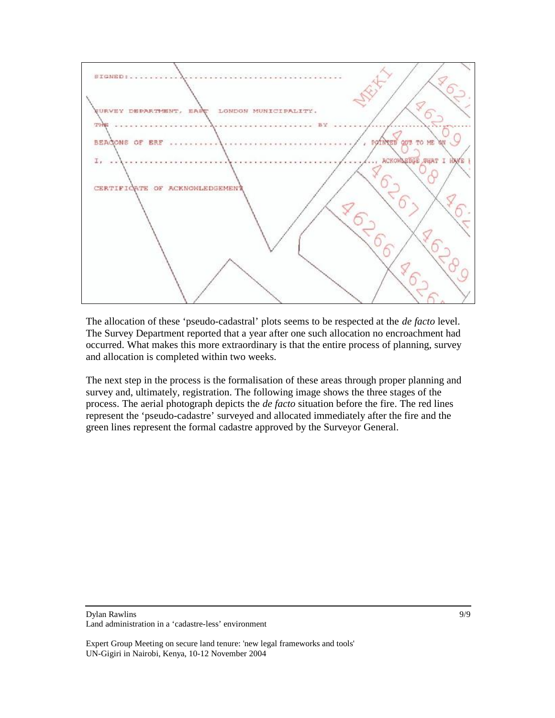

The allocation of these 'pseudo-cadastral' plots seems to be respected at the *de facto* level. The Survey Department reported that a year after one such allocation no encroachment had occurred. What makes this more extraordinary is that the entire process of planning, survey and allocation is completed within two weeks.

The next step in the process is the formalisation of these areas through proper planning and survey and, ultimately, registration. The following image shows the three stages of the process. The aerial photograph depicts the *de facto* situation before the fire. The red lines represent the 'pseudo-cadastre' surveyed and allocated immediately after the fire and the green lines represent the formal cadastre approved by the Surveyor General.

#### Dylan Rawlins Land administration in a 'cadastre-less' environment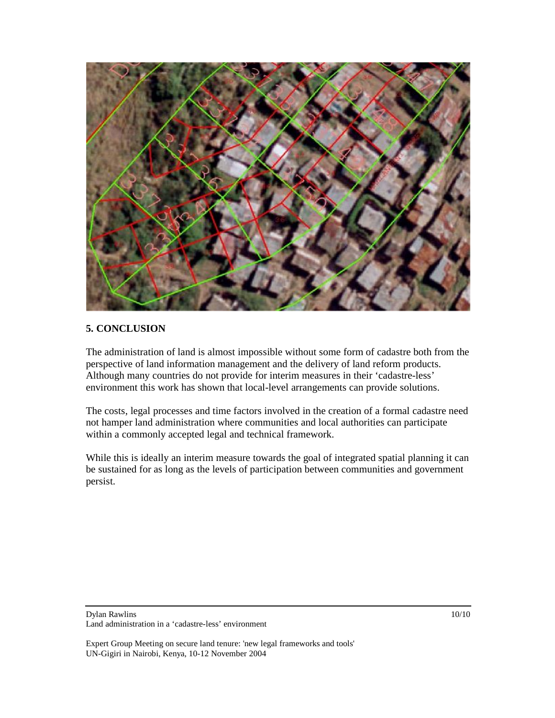

# **5. CONCLUSION**

The administration of land is almost impossible without some form of cadastre both from the perspective of land information management and the delivery of land reform products. Although many countries do not provide for interim measures in their 'cadastre-less' environment this work has shown that local-level arrangements can provide solutions.

The costs, legal processes and time factors involved in the creation of a formal cadastre need not hamper land administration where communities and local authorities can participate within a commonly accepted legal and technical framework.

While this is ideally an interim measure towards the goal of integrated spatial planning it can be sustained for as long as the levels of participation between communities and government persist.

Dylan Rawlins

Land administration in a 'cadastre-less' environment

10/10